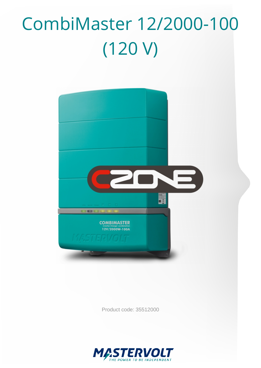# CombiMaster 12/2000-100 (120 V)



Product code: 35512000

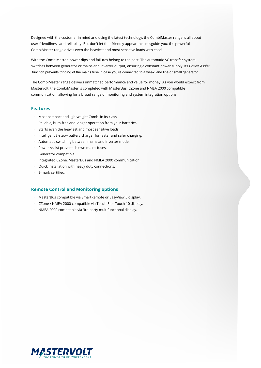Designed with the customer in mind and using the latest technology, the CombiMaster range is all about user-friendliness and reliability. But don't let that friendly appearance misguide you: the powerful CombiMaster range drives even the heaviest and most sensitive loads with ease!

With the CombiMaster, power dips and failures belong to the past. The automatic AC transfer system switches between generator or mains and inverter output, ensuring a constant power supply. Its Power Assist function prevents tripping of the mains fuse in case you're connected to a weak land line or small generator.

The CombiMaster range delivers unmatched performance and value for money. As you would expect from Mastervolt, the CombiMaster is completed with MasterBus, CZone and NMEA 2000 compatible communication, allowing for a broad range of monitoring and system integration options.

#### **Features**

- · Most compact and lightweight Combi in its class.
- Reliable, hum-free and longer operation from your batteries.
- · Starts even the heaviest and most sensitive loads.
- · Intelligent 3-step+ battery charger for faster and safer charging.
- · Automatic switching between mains and inverter mode.
- · Power Assist prevents blown mains fuses.
- · Generator compatible.
- · Integrated CZone, MasterBus and NMEA 2000 communication.
- · Quick installation with heavy duty connections.
- · E-mark certified.

#### **Remote Control and Monitoring options**

- · MasterBus compatible via SmartRemote or EasyView 5 display.
- · CZone / NMEA 2000 compatible via Touch 5 or Touch 10 display.
- · NMEA 2000 compatible via 3rd party multifunctional display.